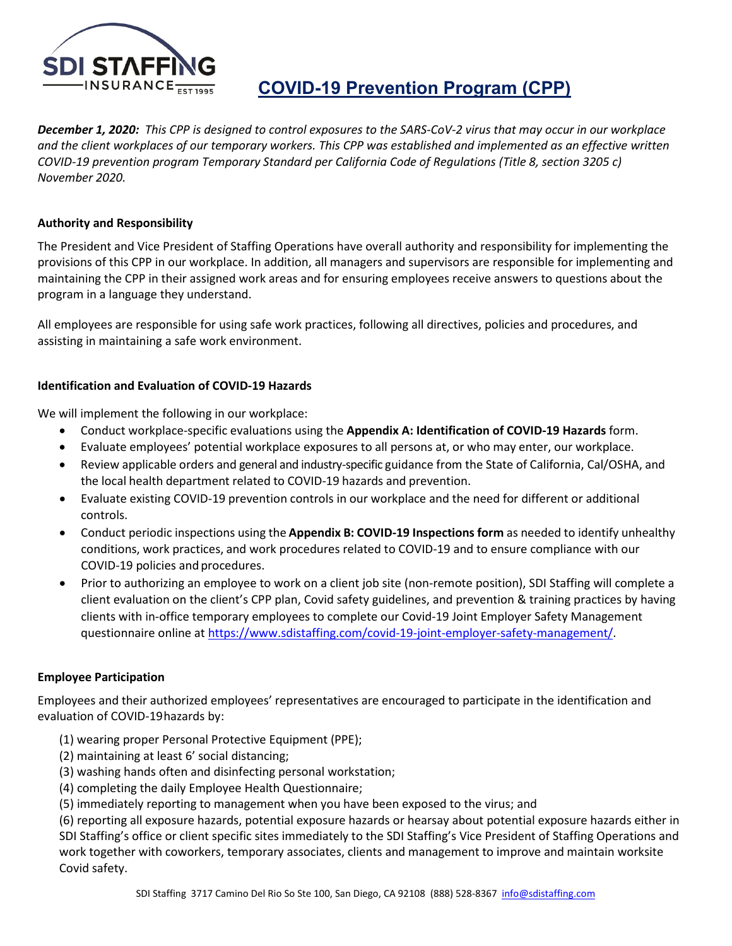

# **COVID-19 Prevention Program (CPP)**

*December 1, 2020: This CPP is designed to control exposures to the SARS-CoV-2 virus that may occur in our workplace and the client workplaces of our temporary workers. This CPP was established and implemented as an effective written COVID-19 prevention program Temporary Standard per California Code of Regulations (Title 8, section 3205 c) November 2020.* 

## **Authority and Responsibility**

The President and Vice President of Staffing Operations have overall authority and responsibility for implementing the provisions of this CPP in our workplace. In addition, all managers and supervisors are responsible for implementing and maintaining the CPP in their assigned work areas and for ensuring employees receive answers to questions about the program in a language they understand.

All employees are responsible for using safe work practices, following all directives, policies and procedures, and assisting in maintaining a safe work environment.

## **Identification and Evaluation of COVID-19 Hazards**

We will implement the following in our workplace:

- Conduct workplace-specific evaluations using the **Appendix A: Identification of COVID-19 Hazards** form.
- Evaluate employees' potential workplace exposures to all persons at, or who may enter, our workplace.
- Review applicable orders and general and industry-specific guidance from the State of California, Cal/OSHA, and the local health department related to COVID-19 hazards and prevention.
- Evaluate existing COVID-19 prevention controls in our workplace and the need for different or additional controls.
- Conduct periodic inspections using the **Appendix B: COVID-19 Inspections form** as needed to identify unhealthy conditions, work practices, and work procedures related to COVID-19 and to ensure compliance with our COVID-19 policies and procedures.
- Prior to authorizing an employee to work on a client job site (non-remote position), SDI Staffing will complete a client evaluation on the client's CPP plan, Covid safety guidelines, and prevention & training practices by having clients with in-office temporary employees to complete our Covid-19 Joint Employer Safety Management questionnaire online at [https://www.sdistaffing.com/covid-19-joint-employer-safety-management/.](https://www.sdistaffing.com/covid-19-joint-employer-safety-management/)

## **Employee Participation**

Employees and their authorized employees' representatives are encouraged to participate in the identification and evaluation of COVID-19hazards by:

- (1) wearing proper Personal Protective Equipment (PPE);
- (2) maintaining at least 6' social distancing;
- (3) washing hands often and disinfecting personal workstation;
- (4) completing the daily Employee Health Questionnaire;
- (5) immediately reporting to management when you have been exposed to the virus; and

(6) reporting all exposure hazards, potential exposure hazards or hearsay about potential exposure hazards either in SDI Staffing's office or client specific sites immediately to the SDI Staffing's Vice President of Staffing Operations and work together with coworkers, temporary associates, clients and management to improve and maintain worksite Covid safety.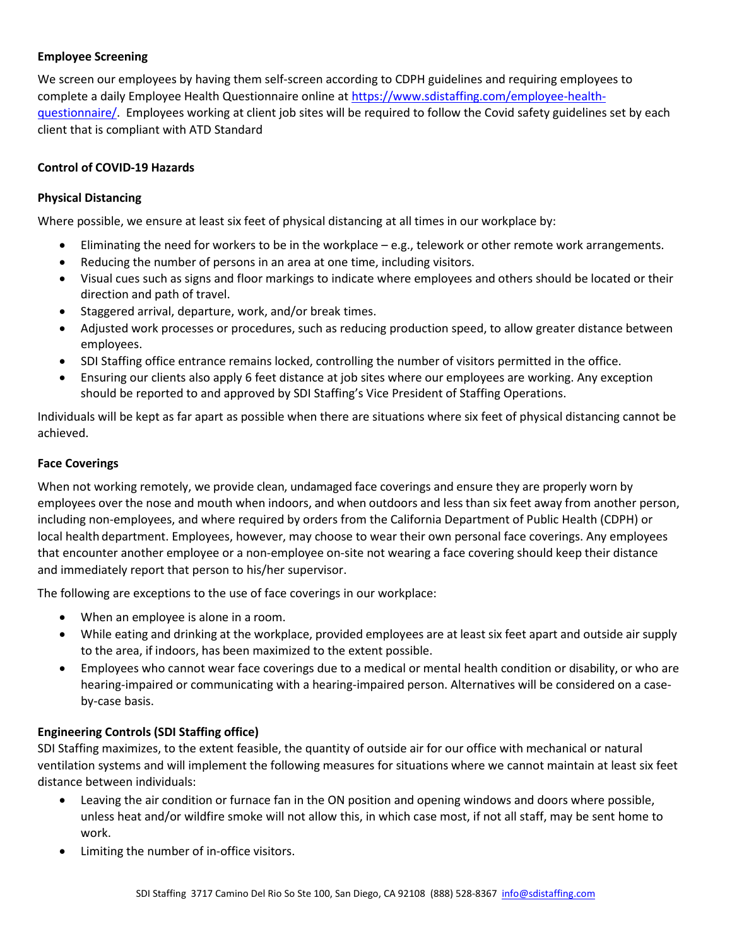## **Employee Screening**

We screen our employees by having them self-screen according to CDPH guidelines and requiring employees to complete a daily Employee Health Questionnaire online at [https://www.sdistaffing.com/employee-health](https://www.sdistaffing.com/employee-health-questionnaire/)[questionnaire/.](https://www.sdistaffing.com/employee-health-questionnaire/) Employees working at client job sites will be required to follow the Covid safety guidelines set by each client that is compliant with ATD Standard

## **Control of COVID-19 Hazards**

## **Physical Distancing**

Where possible, we ensure at least six feet of physical distancing at all times in our workplace by:

- Eliminating the need for workers to be in the workplace e.g., telework or other remote work arrangements.
- Reducing the number of persons in an area at one time, including visitors.
- Visual cues such as signs and floor markings to indicate where employees and others should be located or their direction and path of travel.
- Staggered arrival, departure, work, and/or break times.
- Adjusted work processes or procedures, such as reducing production speed, to allow greater distance between employees.
- SDI Staffing office entrance remains locked, controlling the number of visitors permitted in the office.
- Ensuring our clients also apply 6 feet distance at job sites where our employees are working. Any exception should be reported to and approved by SDI Staffing's Vice President of Staffing Operations.

Individuals will be kept as far apart as possible when there are situations where six feet of physical distancing cannot be achieved.

## **Face Coverings**

When not working remotely, we provide clean, undamaged face coverings and ensure they are properly worn by employees over the nose and mouth when indoors, and when outdoors and less than six feet away from another person, including non-employees, and where required by orders from the California Department of Public Health (CDPH) or local health department. Employees, however, may choose to wear their own personal face coverings. Any employees that encounter another employee or a non-employee on-site not wearing a face covering should keep their distance and immediately report that person to his/her supervisor.

The following are exceptions to the use of face coverings in our workplace:

- When an employee is alone in a room.
- While eating and drinking at the workplace, provided employees are at least six feet apart and outside air supply to the area, if indoors, has been maximized to the extent possible.
- Employees who cannot wear face coverings due to a medical or mental health condition or disability, or who are hearing-impaired or communicating with a hearing-impaired person. Alternatives will be considered on a caseby-case basis.

## **Engineering Controls (SDI Staffing office)**

SDI Staffing maximizes, to the extent feasible, the quantity of outside air for our office with mechanical or natural ventilation systems and will implement the following measures for situations where we cannot maintain at least six feet distance between individuals:

- Leaving the air condition or furnace fan in the ON position and opening windows and doors where possible, unless heat and/or wildfire smoke will not allow this, in which case most, if not all staff, may be sent home to work.
- Limiting the number of in-office visitors.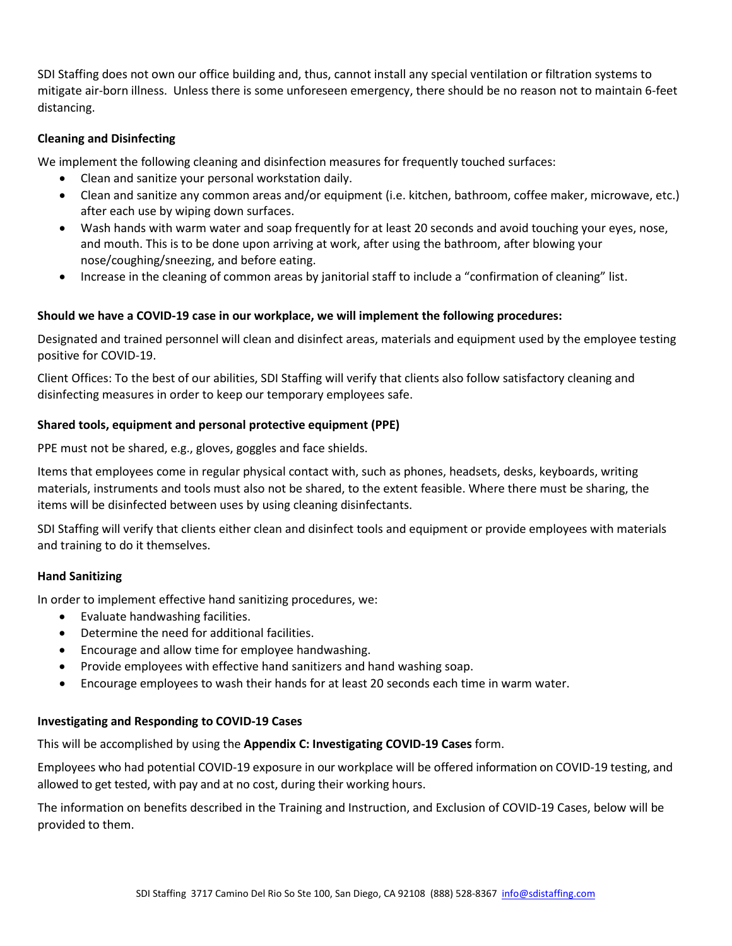SDI Staffing does not own our office building and, thus, cannot install any special ventilation or filtration systems to mitigate air-born illness. Unless there is some unforeseen emergency, there should be no reason not to maintain 6-feet distancing.

## **Cleaning and Disinfecting**

We implement the following cleaning and disinfection measures for frequently touched surfaces:

- Clean and sanitize your personal workstation daily.
- Clean and sanitize any common areas and/or equipment (i.e. kitchen, bathroom, coffee maker, microwave, etc.) after each use by wiping down surfaces.
- Wash hands with warm water and soap frequently for at least 20 seconds and avoid touching your eyes, nose, and mouth. This is to be done upon arriving at work, after using the bathroom, after blowing your nose/coughing/sneezing, and before eating.
- Increase in the cleaning of common areas by janitorial staff to include a "confirmation of cleaning" list.

## **Should we have a COVID-19 case in our workplace, we will implement the following procedures:**

Designated and trained personnel will clean and disinfect areas, materials and equipment used by the employee testing positive for COVID-19.

Client Offices: To the best of our abilities, SDI Staffing will verify that clients also follow satisfactory cleaning and disinfecting measures in order to keep our temporary employees safe.

## **Shared tools, equipment and personal protective equipment (PPE)**

PPE must not be shared, e.g., gloves, goggles and face shields.

Items that employees come in regular physical contact with, such as phones, headsets, desks, keyboards, writing materials, instruments and tools must also not be shared, to the extent feasible. Where there must be sharing, the items will be disinfected between uses by using cleaning disinfectants.

SDI Staffing will verify that clients either clean and disinfect tools and equipment or provide employees with materials and training to do it themselves.

## **Hand Sanitizing**

In order to implement effective hand sanitizing procedures, we:

- Evaluate handwashing facilities.
- Determine the need for additional facilities.
- Encourage and allow time for employee handwashing.
- Provide employees with effective hand sanitizers and hand washing soap.
- Encourage employees to wash their hands for at least 20 seconds each time in warm water.

## **Investigating and Responding to COVID-19 Cases**

This will be accomplished by using the **Appendix C: Investigating COVID-19 Cases** form.

Employees who had potential COVID-19 exposure in our workplace will be offered information on COVID-19 testing, and allowed to get tested, with pay and at no cost, during their working hours.

The information on benefits described in the Training and Instruction, and Exclusion of COVID-19 Cases, below will be provided to them.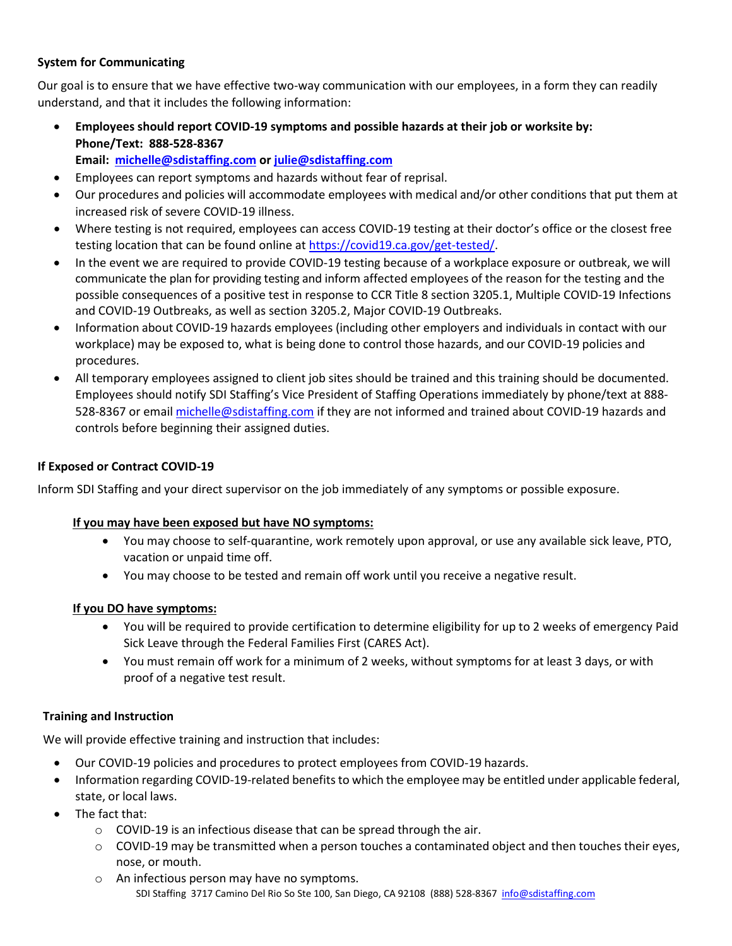## **System for Communicating**

Our goal is to ensure that we have effective two-way communication with our employees, in a form they can readily understand, and that it includes the following information:

- **Employees should report COVID-19 symptoms and possible hazards at their job or worksite by: Phone/Text: 888-528-8367**
	- **Email: [michelle@sdistaffing.com](mailto:michelle@sdistaffing.com) or [julie@sdistaffing.com](mailto:julie@sdistaffing.com)**
- Employees can report symptoms and hazards without fear of reprisal.
- Our procedures and policies will accommodate employees with medical and/or other conditions that put them at increased risk of severe COVID-19 illness.
- Where testing is not required, employees can access COVID-19 testing at their doctor's office or the closest free testing location that can be found online at [https://covid19.ca.gov/get-tested/.](https://covid19.ca.gov/get-tested/)
- In the event we are required to provide COVID-19 testing because of a workplace exposure or outbreak, we will communicate the plan for providing testing and inform affected employees of the reason for the testing and the possible consequences of a positive test in response to CCR Title 8 section 3205.1, Multiple COVID-19 Infections and COVID-19 Outbreaks, as well as section 3205.2, Major COVID-19 Outbreaks.
- Information about COVID-19 hazards employees (including other employers and individuals in contact with our workplace) may be exposed to, what is being done to control those hazards, and our COVID-19 policies and procedures.
- All temporary employees assigned to client job sites should be trained and this training should be documented. Employees should notify SDI Staffing's Vice President of Staffing Operations immediately by phone/text at 888- 528-8367 or email [michelle@sdistaffing.com](mailto:michelle@sdistaffing.com) if they are not informed and trained about COVID-19 hazards and controls before beginning their assigned duties.

## **If Exposed or Contract COVID-19**

Inform SDI Staffing and your direct supervisor on the job immediately of any symptoms or possible exposure.

## **If you may have been exposed but have NO symptoms:**

- You may choose to self-quarantine, work remotely upon approval, or use any available sick leave, PTO, vacation or unpaid time off.
- You may choose to be tested and remain off work until you receive a negative result.

## **If you DO have symptoms:**

- You will be required to provide certification to determine eligibility for up to 2 weeks of emergency Paid Sick Leave through the Federal Families First (CARES Act).
- You must remain off work for a minimum of 2 weeks, without symptoms for at least 3 days, or with proof of a negative test result.

## **Training and Instruction**

We will provide effective training and instruction that includes:

- Our COVID-19 policies and procedures to protect employees from COVID-19 hazards.
- Information regarding COVID-19-related benefits to which the employee may be entitled under applicable federal, state, or local laws.
- The fact that:
	- o COVID-19 is an infectious disease that can be spread through the air.
	- $\circ$  COVID-19 may be transmitted when a person touches a contaminated object and then touches their eyes, nose, or mouth.
	- o An infectious person may have no symptoms.

SDI Staffing 3717 Camino Del Rio So Ste 100, San Diego, CA 92108 (888) 528-8367 [info@sdistaffing.com](mailto:info@sdistaffing.com)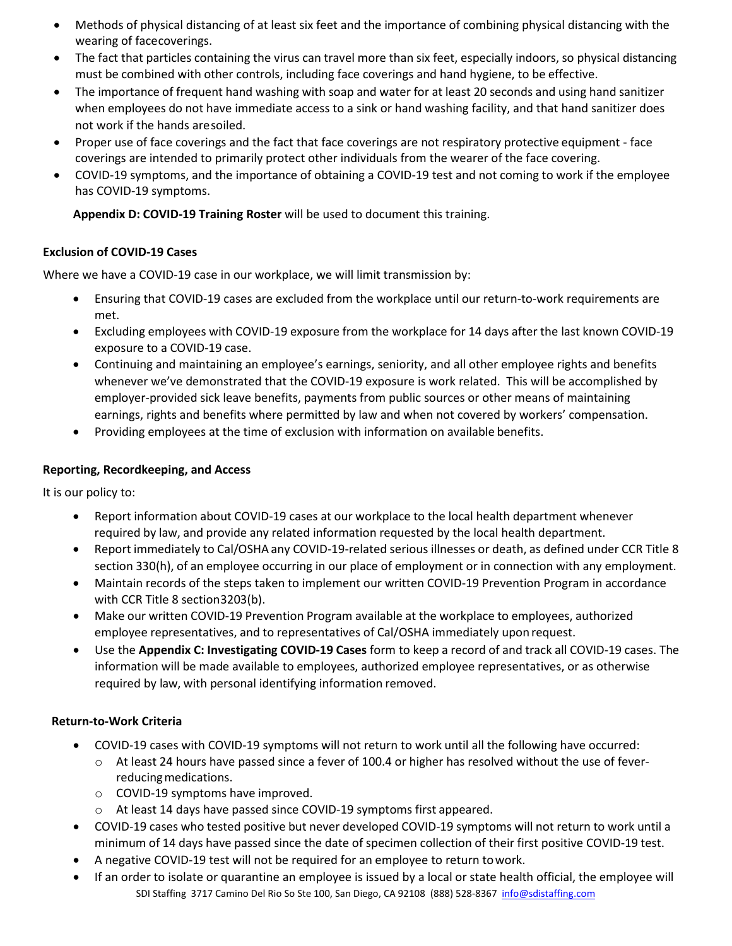- Methods of physical distancing of at least six feet and the importance of combining physical distancing with the wearing of facecoverings.
- The fact that particles containing the virus can travel more than six feet, especially indoors, so physical distancing must be combined with other controls, including face coverings and hand hygiene, to be effective.
- The importance of frequent hand washing with soap and water for at least 20 seconds and using hand sanitizer when employees do not have immediate access to a sink or hand washing facility, and that hand sanitizer does not work if the hands aresoiled.
- Proper use of face coverings and the fact that face coverings are not respiratory protective equipment face coverings are intended to primarily protect other individuals from the wearer of the face covering.
- COVID-19 symptoms, and the importance of obtaining a COVID-19 test and not coming to work if the employee has COVID-19 symptoms.

**Appendix D: COVID-19 Training Roster** will be used to document this training.

## **Exclusion of COVID-19 Cases**

Where we have a COVID-19 case in our workplace, we will limit transmission by:

- Ensuring that COVID-19 cases are excluded from the workplace until our return-to-work requirements are met.
- Excluding employees with COVID-19 exposure from the workplace for 14 days after the last known COVID-19 exposure to a COVID-19 case.
- Continuing and maintaining an employee's earnings, seniority, and all other employee rights and benefits whenever we've demonstrated that the COVID-19 exposure is work related. This will be accomplished by employer-provided sick leave benefits, payments from public sources or other means of maintaining earnings, rights and benefits where permitted by law and when not covered by workers' compensation.
- Providing employees at the time of exclusion with information on available benefits.

## **Reporting, Recordkeeping, and Access**

It is our policy to:

- Report information about COVID-19 cases at our workplace to the local health department whenever required by law, and provide any related information requested by the local health department.
- Report immediately to Cal/OSHA any COVID-19-related serious illnesses or death, as defined under CCR Title 8 section 330(h), of an employee occurring in our place of employment or in connection with any employment.
- Maintain records of the steps taken to implement our written COVID-19 Prevention Program in accordance with CCR Title 8 section3203(b).
- Make our written COVID-19 Prevention Program available at the workplace to employees, authorized employee representatives, and to representatives of Cal/OSHA immediately uponrequest.
- Use the **Appendix C: Investigating COVID-19 Cases** form to keep a record of and track all COVID-19 cases. The information will be made available to employees, authorized employee representatives, or as otherwise required by law, with personal identifying information removed.

## **Return-to-Work Criteria**

- COVID-19 cases with COVID-19 symptoms will not return to work until all the following have occurred:
	- o At least 24 hours have passed since a fever of 100.4 or higher has resolved without the use of feverreducing medications.
	- o COVID-19 symptoms have improved.
	- o At least 14 days have passed since COVID-19 symptoms first appeared.
- COVID-19 cases who tested positive but never developed COVID-19 symptoms will not return to work until a minimum of 14 days have passed since the date of specimen collection of their first positive COVID-19 test.
- A negative COVID-19 test will not be required for an employee to return towork.
- SDI Staffing 3717 Camino Del Rio So Ste 100, San Diego, CA 92108 (888) 528-8367 [info@sdistaffing.com](mailto:info@sdistaffing.com) • If an order to isolate or quarantine an employee is issued by a local or state health official, the employee will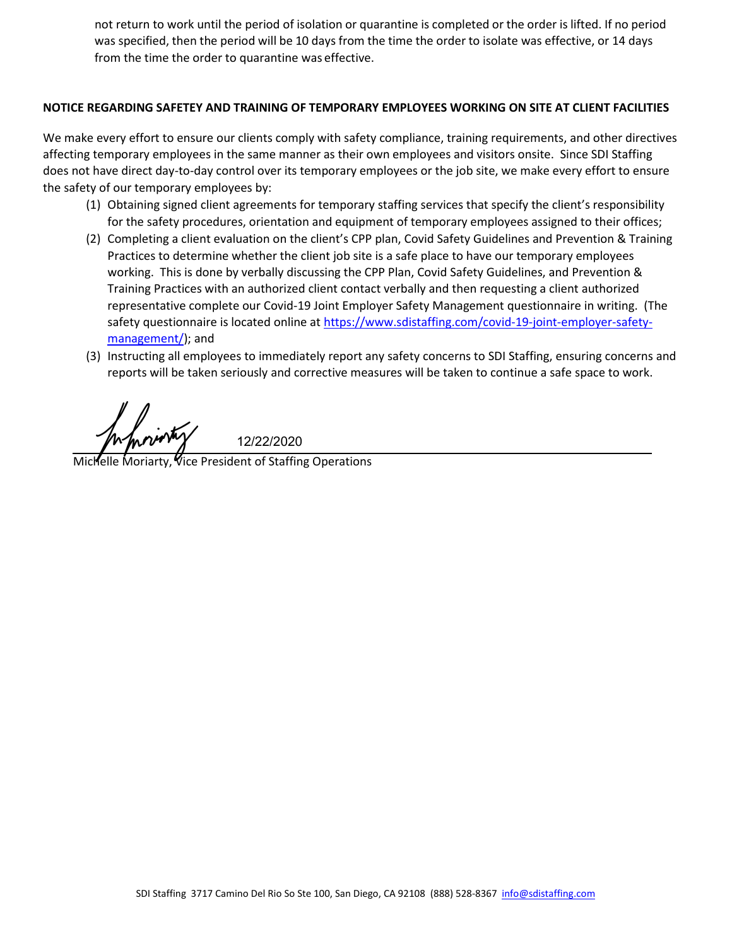not return to work until the period of isolation or quarantine is completed or the order is lifted. If no period was specified, then the period will be 10 days from the time the order to isolate was effective, or 14 days from the time the order to quarantine was effective.

## **NOTICE REGARDING SAFETEY AND TRAINING OF TEMPORARY EMPLOYEES WORKING ON SITE AT CLIENT FACILITIES**

We make every effort to ensure our clients comply with safety compliance, training requirements, and other directives affecting temporary employees in the same manner as their own employees and visitors onsite. Since SDI Staffing does not have direct day-to-day control over its temporary employees or the job site, we make every effort to ensure the safety of our temporary employees by:

- (1) Obtaining signed client agreements for temporary staffing services that specify the client's responsibility for the safety procedures, orientation and equipment of temporary employees assigned to their offices;
- (2) Completing a client evaluation on the client's CPP plan, Covid Safety Guidelines and Prevention & Training Practices to determine whether the client job site is a safe place to have our temporary employees working. This is done by verbally discussing the CPP Plan, Covid Safety Guidelines, and Prevention & Training Practices with an authorized client contact verbally and then requesting a client authorized representative complete our Covid-19 Joint Employer Safety Management questionnaire in writing. (The safety questionnaire is located online at [https://www.sdistaffing.com/covid-19-joint-employer-safety](https://www.sdistaffing.com/covid-19-joint-employer-safety-management/)[management/\)](https://www.sdistaffing.com/covid-19-joint-employer-safety-management/); and
- (3) Instructing all employees to immediately report any safety concerns to SDI Staffing, ensuring concerns and reports will be taken seriously and corrective measures will be taken to continue a safe space to work.

*Michelle Morinty*<br>Michelle Moriarty, Vice President of Staffing Operations 12/22/2020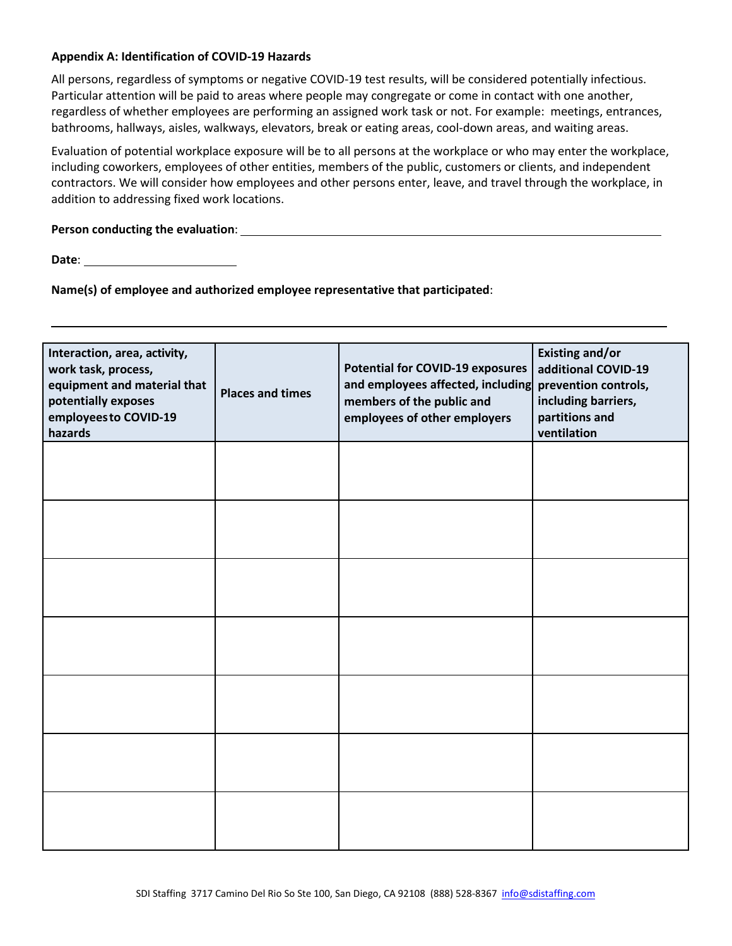#### **Appendix A: Identification of COVID-19 Hazards**

All persons, regardless of symptoms or negative COVID-19 test results, will be considered potentially infectious. Particular attention will be paid to areas where people may congregate or come in contact with one another, regardless of whether employees are performing an assigned work task or not. For example: meetings, entrances, bathrooms, hallways, aisles, walkways, elevators, break or eating areas, cool-down areas, and waiting areas.

Evaluation of potential workplace exposure will be to all persons at the workplace or who may enter the workplace, including coworkers, employees of other entities, members of the public, customers or clients, and independent contractors. We will consider how employees and other persons enter, leave, and travel through the workplace, in addition to addressing fixed work locations.

#### **Person conducting the evaluation**:

**Date**:

**Name(s) of employee and authorized employee representative that participated**:

| Interaction, area, activity,<br>work task, process,<br>equipment and material that<br>potentially exposes<br>employees to COVID-19<br>hazards | <b>Places and times</b> | <b>Potential for COVID-19 exposures</b><br>and employees affected, including<br>members of the public and<br>employees of other employers | <b>Existing and/or</b><br>additional COVID-19<br>prevention controls,<br>including barriers,<br>partitions and<br>ventilation |
|-----------------------------------------------------------------------------------------------------------------------------------------------|-------------------------|-------------------------------------------------------------------------------------------------------------------------------------------|-------------------------------------------------------------------------------------------------------------------------------|
|                                                                                                                                               |                         |                                                                                                                                           |                                                                                                                               |
|                                                                                                                                               |                         |                                                                                                                                           |                                                                                                                               |
|                                                                                                                                               |                         |                                                                                                                                           |                                                                                                                               |
|                                                                                                                                               |                         |                                                                                                                                           |                                                                                                                               |
|                                                                                                                                               |                         |                                                                                                                                           |                                                                                                                               |
|                                                                                                                                               |                         |                                                                                                                                           |                                                                                                                               |
|                                                                                                                                               |                         |                                                                                                                                           |                                                                                                                               |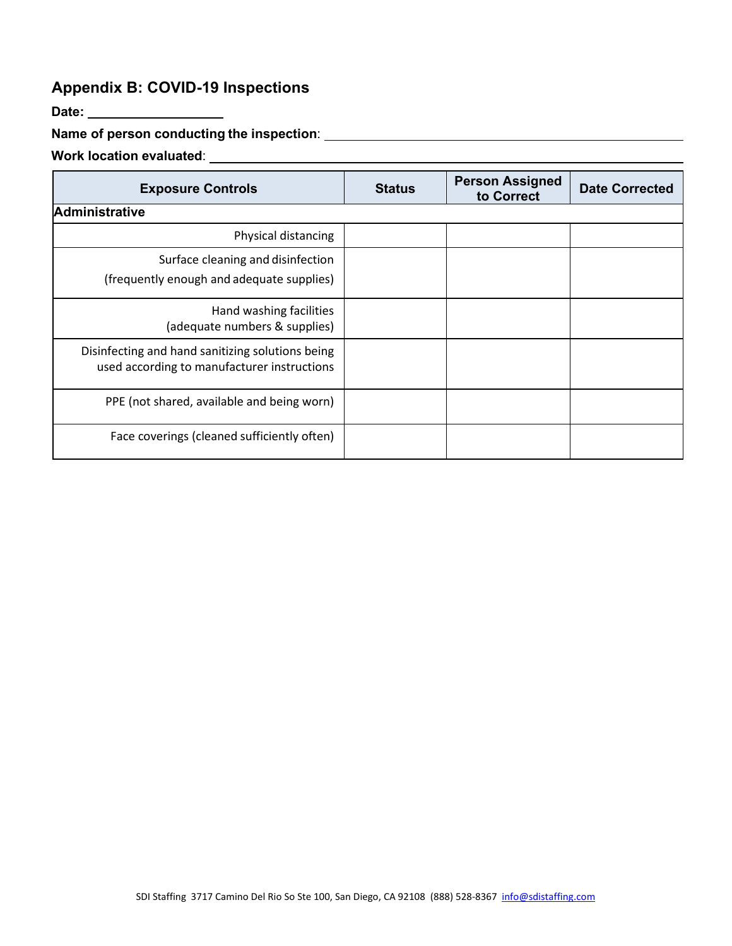## **Appendix B: COVID-19 Inspections**

**Date:**

## **Name of person conducting the inspection**:

# **Work location evaluated**:

| <b>Exposure Controls</b>                                                                        | <b>Status</b> | <b>Person Assigned</b><br>to Correct | <b>Date Corrected</b> |
|-------------------------------------------------------------------------------------------------|---------------|--------------------------------------|-----------------------|
| <b>Administrative</b>                                                                           |               |                                      |                       |
| Physical distancing                                                                             |               |                                      |                       |
| Surface cleaning and disinfection<br>(frequently enough and adequate supplies)                  |               |                                      |                       |
| Hand washing facilities<br>(adequate numbers & supplies)                                        |               |                                      |                       |
| Disinfecting and hand sanitizing solutions being<br>used according to manufacturer instructions |               |                                      |                       |
| PPE (not shared, available and being worn)                                                      |               |                                      |                       |
| Face coverings (cleaned sufficiently often)                                                     |               |                                      |                       |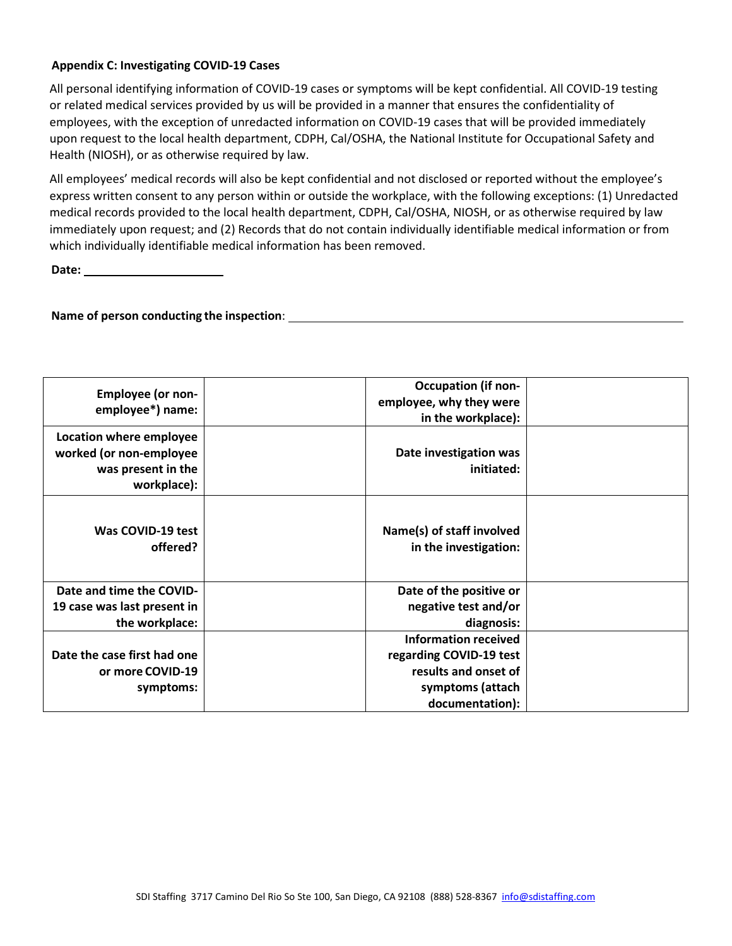## **Appendix C: Investigating COVID-19 Cases**

All personal identifying information of COVID-19 cases or symptoms will be kept confidential. All COVID-19 testing or related medical services provided by us will be provided in a manner that ensures the confidentiality of employees, with the exception of unredacted information on COVID-19 cases that will be provided immediately upon request to the local health department, CDPH, Cal/OSHA, the National Institute for Occupational Safety and Health (NIOSH), or as otherwise required by law.

All employees' medical records will also be kept confidential and not disclosed or reported without the employee's express written consent to any person within or outside the workplace, with the following exceptions: (1) Unredacted medical records provided to the local health department, CDPH, Cal/OSHA, NIOSH, or as otherwise required by law immediately upon request; and (2) Records that do not contain individually identifiable medical information or from which individually identifiable medical information has been removed.

**Date:** 

## **Name of person conducting the inspection**:

| <b>Employee (or non-</b><br>employee*) name:                                            | <b>Occupation (if non-</b><br>employee, why they were<br>in the workplace): |  |
|-----------------------------------------------------------------------------------------|-----------------------------------------------------------------------------|--|
| Location where employee<br>worked (or non-employee<br>was present in the<br>workplace): | Date investigation was<br>initiated:                                        |  |
| Was COVID-19 test<br>offered?                                                           | Name(s) of staff involved<br>in the investigation:                          |  |
| Date and time the COVID-                                                                | Date of the positive or                                                     |  |
| 19 case was last present in                                                             | negative test and/or                                                        |  |
| the workplace:                                                                          | diagnosis:                                                                  |  |
|                                                                                         | <b>Information received</b>                                                 |  |
| Date the case first had one                                                             | regarding COVID-19 test                                                     |  |
| or more COVID-19                                                                        | results and onset of                                                        |  |
| symptoms:                                                                               | symptoms (attach                                                            |  |
|                                                                                         | documentation):                                                             |  |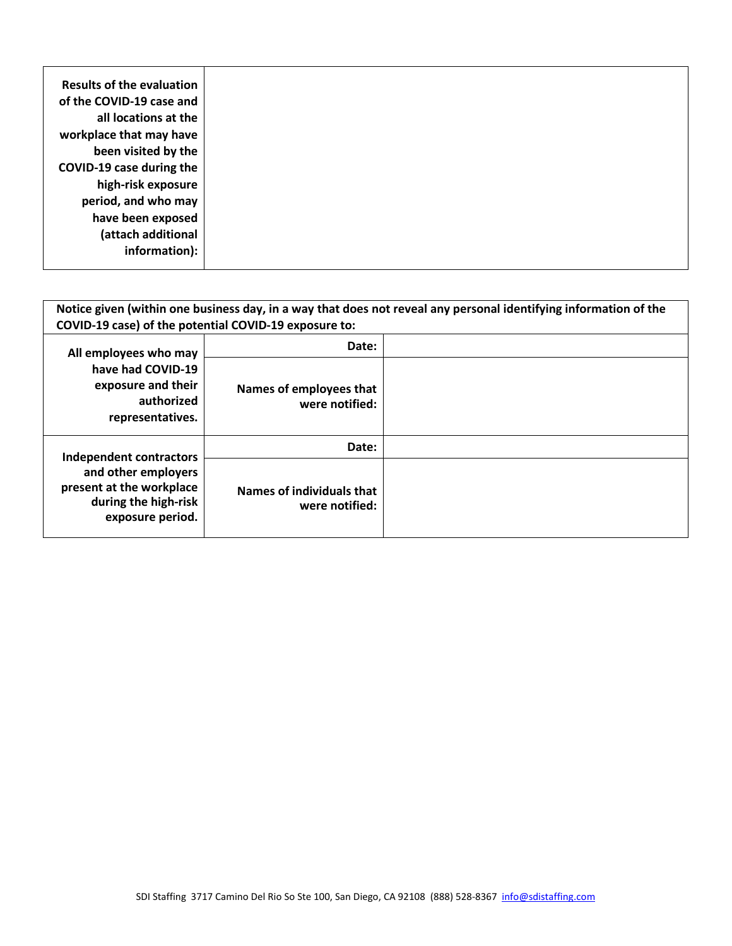| Results of the evaluation |
|---------------------------|
| of the COVID-19 case and  |
| all locations at the      |
| workplace that may have   |
| been visited by the       |
| COVID-19 case during the  |
| high-risk exposure        |
| period, and who may       |
|                           |
| have been exposed         |
| (attach additional        |
| information):             |
|                           |

| Notice given (within one business day, in a way that does not reveal any personal identifying information of the<br>COVID-19 case) of the potential COVID-19 exposure to: |                                             |  |
|---------------------------------------------------------------------------------------------------------------------------------------------------------------------------|---------------------------------------------|--|
| All employees who may<br>have had COVID-19<br>exposure and their<br>authorized<br>representatives.                                                                        | Date:                                       |  |
|                                                                                                                                                                           | Names of employees that<br>were notified:   |  |
| Independent contractors<br>and other employers<br>present at the workplace<br>during the high-risk<br>exposure period.                                                    | Date:                                       |  |
|                                                                                                                                                                           | Names of individuals that<br>were notified: |  |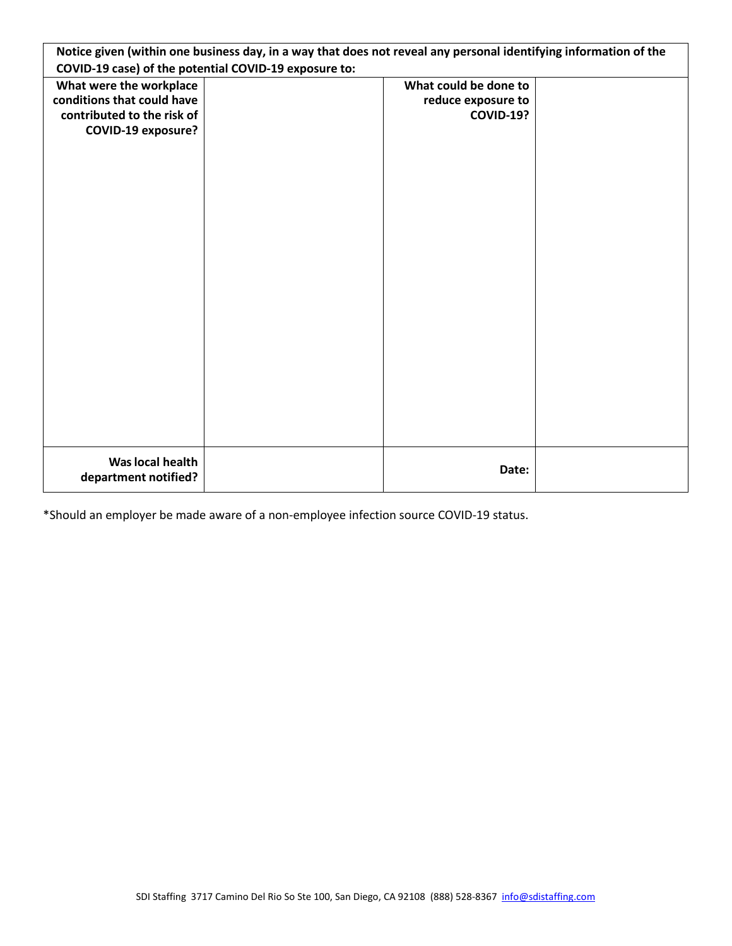|                                                       | Notice given (within one business day, in a way that does not reveal any personal identifying information of the |                       |  |
|-------------------------------------------------------|------------------------------------------------------------------------------------------------------------------|-----------------------|--|
| COVID-19 case) of the potential COVID-19 exposure to: |                                                                                                                  |                       |  |
| What were the workplace                               |                                                                                                                  | What could be done to |  |
| conditions that could have                            |                                                                                                                  | reduce exposure to    |  |
| contributed to the risk of                            |                                                                                                                  | <b>COVID-19?</b>      |  |
| <b>COVID-19 exposure?</b>                             |                                                                                                                  |                       |  |
|                                                       |                                                                                                                  |                       |  |
|                                                       |                                                                                                                  |                       |  |
|                                                       |                                                                                                                  |                       |  |
|                                                       |                                                                                                                  |                       |  |
|                                                       |                                                                                                                  |                       |  |
|                                                       |                                                                                                                  |                       |  |
|                                                       |                                                                                                                  |                       |  |
|                                                       |                                                                                                                  |                       |  |
|                                                       |                                                                                                                  |                       |  |
|                                                       |                                                                                                                  |                       |  |
|                                                       |                                                                                                                  |                       |  |
|                                                       |                                                                                                                  |                       |  |
|                                                       |                                                                                                                  |                       |  |
|                                                       |                                                                                                                  |                       |  |
|                                                       |                                                                                                                  |                       |  |
|                                                       |                                                                                                                  |                       |  |
|                                                       |                                                                                                                  |                       |  |
|                                                       |                                                                                                                  |                       |  |
|                                                       |                                                                                                                  |                       |  |
| Was local health                                      |                                                                                                                  |                       |  |
| department notified?                                  |                                                                                                                  | Date:                 |  |
|                                                       |                                                                                                                  |                       |  |

\*Should an employer be made aware of a non-employee infection source COVID-19 status.